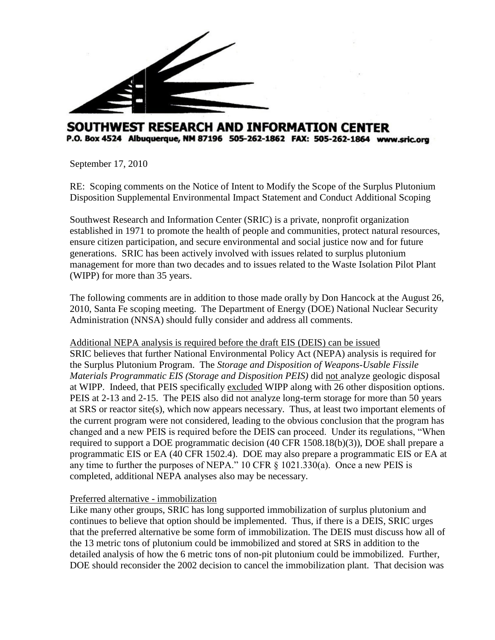

# SOUTHWEST RESEARCH AND INFORMATION CENTER P.O. Box 4524 Albuquerque, NM 87196 505-262-1862 FAX: 505-262-1864 www.sric.org

September 17, 2010

RE: Scoping comments on the Notice of Intent to Modify the Scope of the Surplus Plutonium Disposition Supplemental Environmental Impact Statement and Conduct Additional Scoping

Southwest Research and Information Center (SRIC) is a private, nonprofit organization established in 1971 to promote the health of people and communities, protect natural resources, ensure citizen participation, and secure environmental and social justice now and for future generations. SRIC has been actively involved with issues related to surplus plutonium management for more than two decades and to issues related to the Waste Isolation Pilot Plant (WIPP) for more than 35 years.

The following comments are in addition to those made orally by Don Hancock at the August 26, 2010, Santa Fe scoping meeting. The Department of Energy (DOE) National Nuclear Security Administration (NNSA) should fully consider and address all comments.

## Additional NEPA analysis is required before the draft EIS (DEIS) can be issued

SRIC believes that further National Environmental Policy Act (NEPA) analysis is required for the Surplus Plutonium Program. The *Storage and Disposition of Weapons-Usable Fissile Materials Programmatic EIS (Storage and Disposition PEIS)* did not analyze geologic disposal at WIPP. Indeed, that PEIS specifically excluded WIPP along with 26 other disposition options. PEIS at 2-13 and 2-15. The PEIS also did not analyze long-term storage for more than 50 years at SRS or reactor site(s), which now appears necessary. Thus, at least two important elements of the current program were not considered, leading to the obvious conclusion that the program has changed and a new PEIS is required before the DEIS can proceed. Under its regulations, "When required to support a DOE programmatic decision (40 CFR 1508.18(b)(3)), DOE shall prepare a programmatic EIS or EA (40 CFR 1502.4). DOE may also prepare a programmatic EIS or EA at any time to further the purposes of NEPA." 10 CFR § 1021.330(a). Once a new PEIS is completed, additional NEPA analyses also may be necessary.

## Preferred alternative - immobilization

Like many other groups, SRIC has long supported immobilization of surplus plutonium and continues to believe that option should be implemented. Thus, if there is a DEIS, SRIC urges that the preferred alternative be some form of immobilization. The DEIS must discuss how all of the 13 metric tons of plutonium could be immobilized and stored at SRS in addition to the detailed analysis of how the 6 metric tons of non-pit plutonium could be immobilized. Further, DOE should reconsider the 2002 decision to cancel the immobilization plant. That decision was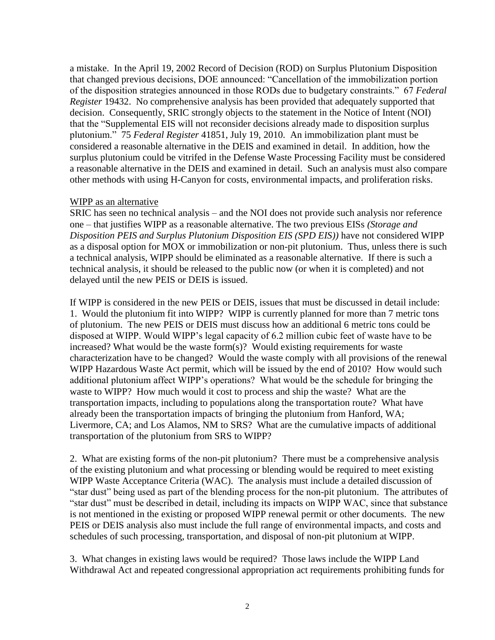a mistake. In the April 19, 2002 Record of Decision (ROD) on Surplus Plutonium Disposition that changed previous decisions, DOE announced: "Cancellation of the immobilization portion of the disposition strategies announced in those RODs due to budgetary constraints." 67 *Federal Register* 19432. No comprehensive analysis has been provided that adequately supported that decision. Consequently, SRIC strongly objects to the statement in the Notice of Intent (NOI) that the "Supplemental EIS will not reconsider decisions already made to disposition surplus plutonium." 75 *Federal Register* 41851, July 19, 2010. An immobilization plant must be considered a reasonable alternative in the DEIS and examined in detail. In addition, how the surplus plutonium could be vitrifed in the Defense Waste Processing Facility must be considered a reasonable alternative in the DEIS and examined in detail. Such an analysis must also compare other methods with using H-Canyon for costs, environmental impacts, and proliferation risks.

## WIPP as an alternative

SRIC has seen no technical analysis – and the NOI does not provide such analysis nor reference one – that justifies WIPP as a reasonable alternative. The two previous EISs *(Storage and Disposition PEIS and Surplus Plutonium Disposition EIS (SPD EIS))* have not considered WIPP as a disposal option for MOX or immobilization or non-pit plutonium. Thus, unless there is such a technical analysis, WIPP should be eliminated as a reasonable alternative. If there is such a technical analysis, it should be released to the public now (or when it is completed) and not delayed until the new PEIS or DEIS is issued.

If WIPP is considered in the new PEIS or DEIS, issues that must be discussed in detail include: 1. Would the plutonium fit into WIPP?WIPP is currently planned for more than 7 metric tons of plutonium. The new PEIS or DEIS must discuss how an additional 6 metric tons could be disposed at WIPP. Would WIPP's legal capacity of 6.2 million cubic feet of waste have to be increased? What would be the waste form(s)? Would existing requirements for waste characterization have to be changed? Would the waste comply with all provisions of the renewal WIPP Hazardous Waste Act permit, which will be issued by the end of 2010? How would such additional plutonium affect WIPP's operations? What would be the schedule for bringing the waste to WIPP? How much would it cost to process and ship the waste? What are the transportation impacts, including to populations along the transportation route? What have already been the transportation impacts of bringing the plutonium from Hanford, WA; Livermore, CA; and Los Alamos, NM to SRS? What are the cumulative impacts of additional transportation of the plutonium from SRS to WIPP?

2. What are existing forms of the non-pit plutonium? There must be a comprehensive analysis of the existing plutonium and what processing or blending would be required to meet existing WIPP Waste Acceptance Criteria (WAC). The analysis must include a detailed discussion of "star dust" being used as part of the blending process for the non-pit plutonium. The attributes of "star dust" must be described in detail, including its impacts on WIPP WAC, since that substance is not mentioned in the existing or proposed WIPP renewal permit or other documents. The new PEIS or DEIS analysis also must include the full range of environmental impacts, and costs and schedules of such processing, transportation, and disposal of non-pit plutonium at WIPP.

3. What changes in existing laws would be required? Those laws include the WIPP Land Withdrawal Act and repeated congressional appropriation act requirements prohibiting funds for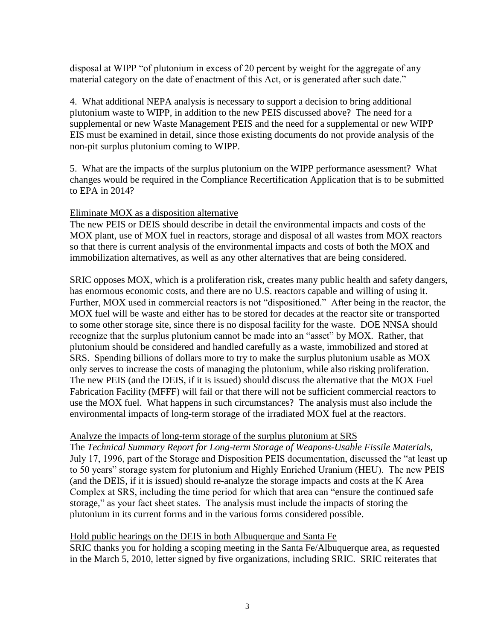disposal at WIPP "of plutonium in excess of 20 percent by weight for the aggregate of any material category on the date of enactment of this Act, or is generated after such date."

4. What additional NEPA analysis is necessary to support a decision to bring additional plutonium waste to WIPP, in addition to the new PEIS discussed above? The need for a supplemental or new Waste Management PEIS and the need for a supplemental or new WIPP EIS must be examined in detail, since those existing documents do not provide analysis of the non-pit surplus plutonium coming to WIPP.

5. What are the impacts of the surplus plutonium on the WIPP performance asessment? What changes would be required in the Compliance Recertification Application that is to be submitted to EPA in 2014?

## Eliminate MOX as a disposition alternative

The new PEIS or DEIS should describe in detail the environmental impacts and costs of the MOX plant, use of MOX fuel in reactors, storage and disposal of all wastes from MOX reactors so that there is current analysis of the environmental impacts and costs of both the MOX and immobilization alternatives, as well as any other alternatives that are being considered.

SRIC opposes MOX, which is a proliferation risk, creates many public health and safety dangers, has enormous economic costs, and there are no U.S. reactors capable and willing of using it. Further, MOX used in commercial reactors is not "dispositioned." After being in the reactor, the MOX fuel will be waste and either has to be stored for decades at the reactor site or transported to some other storage site, since there is no disposal facility for the waste. DOE NNSA should recognize that the surplus plutonium cannot be made into an "asset" by MOX. Rather, that plutonium should be considered and handled carefully as a waste, immobilized and stored at SRS. Spending billions of dollars more to try to make the surplus plutonium usable as MOX only serves to increase the costs of managing the plutonium, while also risking proliferation. The new PEIS (and the DEIS, if it is issued) should discuss the alternative that the MOX Fuel Fabrication Facility (MFFF) will fail or that there will not be sufficient commercial reactors to use the MOX fuel. What happens in such circumstances? The analysis must also include the environmental impacts of long-term storage of the irradiated MOX fuel at the reactors.

## Analyze the impacts of long-term storage of the surplus plutonium at SRS

The *Technical Summary Report for Long-term Storage of Weapons-Usable Fissile Materials*, July 17, 1996, part of the Storage and Disposition PEIS documentation, discussed the "at least up to 50 years" storage system for plutonium and Highly Enriched Uranium (HEU). The new PEIS (and the DEIS, if it is issued) should re-analyze the storage impacts and costs at the K Area Complex at SRS, including the time period for which that area can "ensure the continued safe storage," as your fact sheet states. The analysis must include the impacts of storing the plutonium in its current forms and in the various forms considered possible.

### Hold public hearings on the DEIS in both Albuquerque and Santa Fe

SRIC thanks you for holding a scoping meeting in the Santa Fe/Albuquerque area, as requested in the March 5, 2010, letter signed by five organizations, including SRIC. SRIC reiterates that